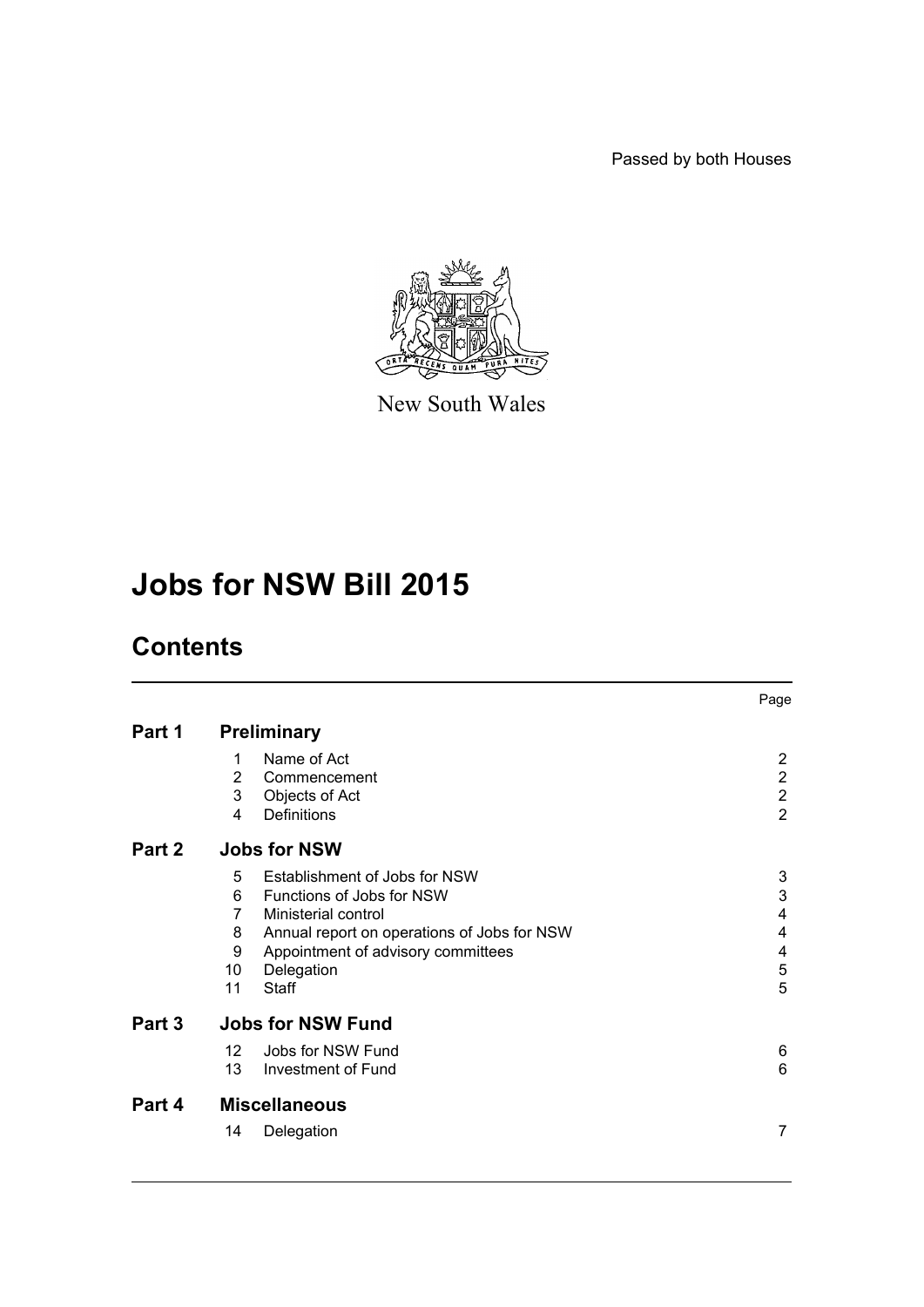Passed by both Houses



New South Wales

# **Jobs for NSW Bill 2015**

## **Contents**

|        |                          |                                             | Page           |  |
|--------|--------------------------|---------------------------------------------|----------------|--|
| Part 1 | <b>Preliminary</b>       |                                             |                |  |
|        | 1                        | Name of Act                                 | 2              |  |
|        | $\overline{2}$           | Commencement                                | $\overline{2}$ |  |
|        | 3                        | Objects of Act                              | $\overline{2}$ |  |
|        | 4                        | Definitions                                 | $\overline{2}$ |  |
| Part 2 | <b>Jobs for NSW</b>      |                                             |                |  |
|        | 5                        | Establishment of Jobs for NSW               | 3              |  |
|        | 6                        | Functions of Jobs for NSW                   | 3              |  |
|        | 7                        | Ministerial control                         | 4              |  |
|        | 8                        | Annual report on operations of Jobs for NSW | 4              |  |
|        | 9                        | Appointment of advisory committees          | 4              |  |
|        | 10                       | Delegation                                  | 5              |  |
|        | 11                       | Staff                                       | 5              |  |
| Part 3 | <b>Jobs for NSW Fund</b> |                                             |                |  |
|        | 12 <sup>2</sup>          | Jobs for NSW Fund                           | 6              |  |
|        | 13                       | Investment of Fund                          | 6              |  |
| Part 4 | <b>Miscellaneous</b>     |                                             |                |  |
|        | 14                       | Delegation                                  | 7              |  |
|        |                          |                                             |                |  |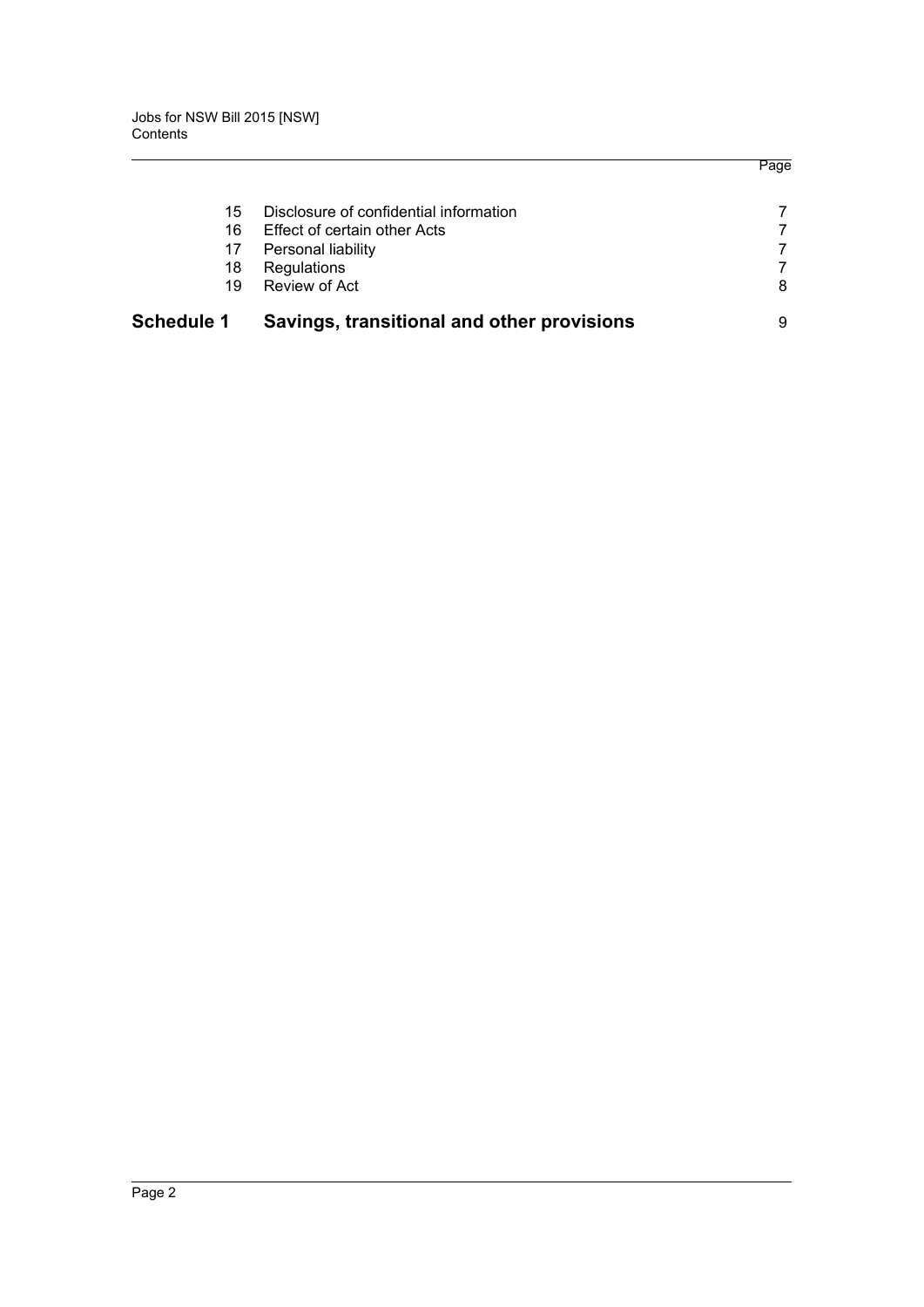|                   |                                            | Page |
|-------------------|--------------------------------------------|------|
| 15                | Disclosure of confidential information     |      |
| 16                | Effect of certain other Acts               |      |
| 17                | Personal liability                         |      |
| 18                | Regulations                                |      |
| 19                | Review of Act                              | 8    |
| <b>Schedule 1</b> | Savings, transitional and other provisions | 9    |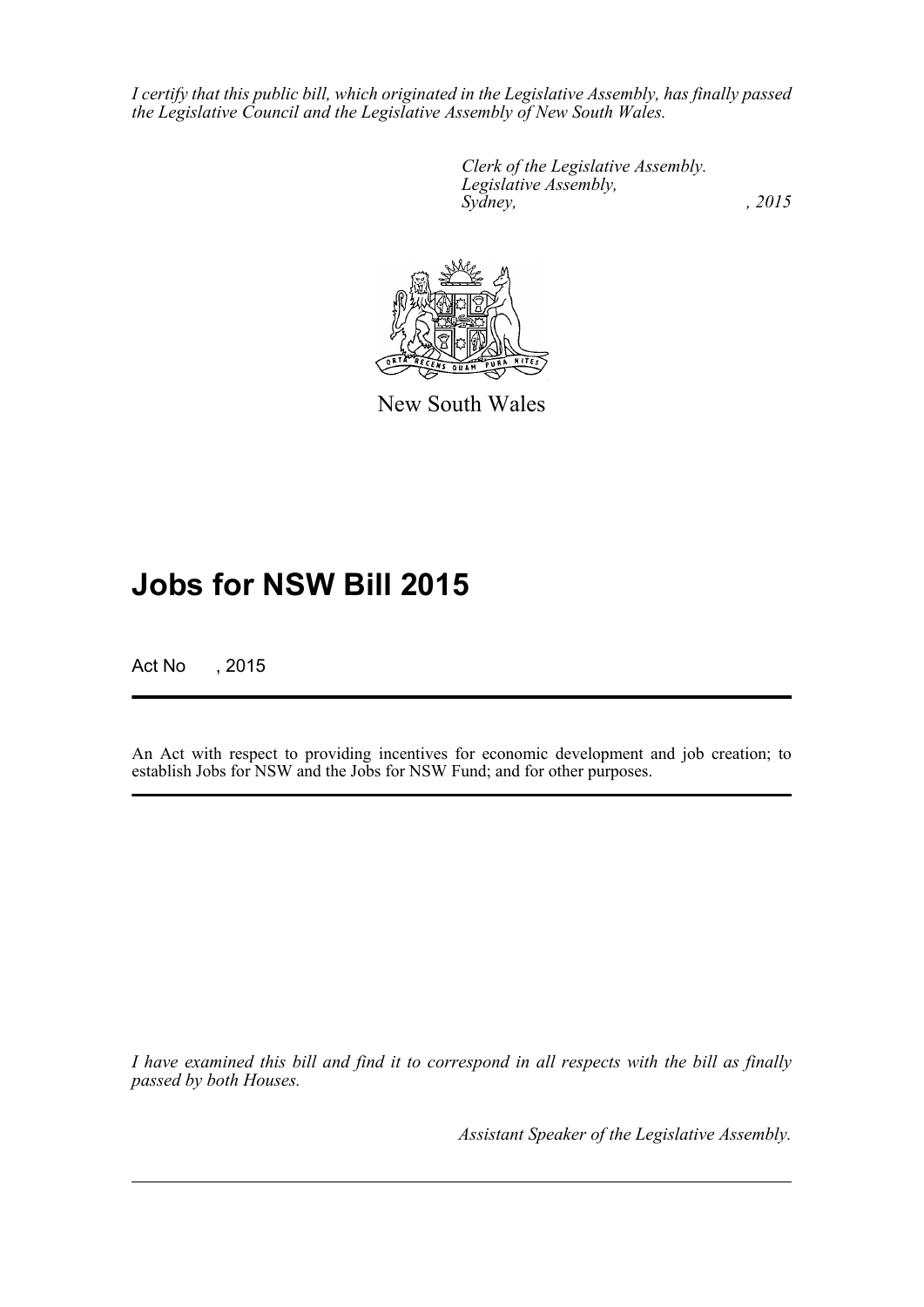*I certify that this public bill, which originated in the Legislative Assembly, has finally passed the Legislative Council and the Legislative Assembly of New South Wales.*

> *Clerk of the Legislative Assembly. Legislative Assembly, Sydney,* , 2015



New South Wales

## **Jobs for NSW Bill 2015**

Act No , 2015

An Act with respect to providing incentives for economic development and job creation; to establish Jobs for NSW and the Jobs for NSW Fund; and for other purposes.

*I have examined this bill and find it to correspond in all respects with the bill as finally passed by both Houses.*

*Assistant Speaker of the Legislative Assembly.*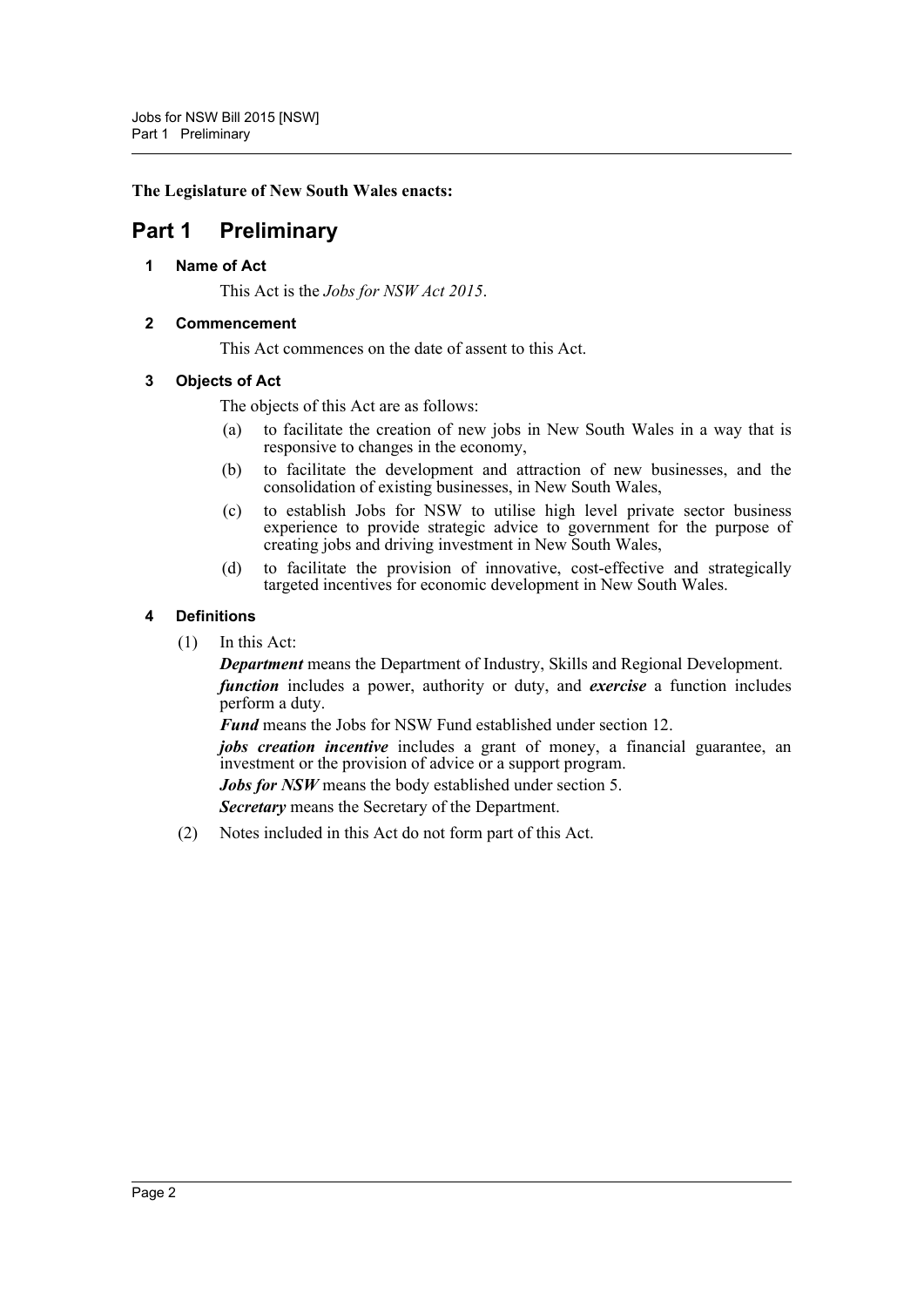**The Legislature of New South Wales enacts:**

### <span id="page-3-1"></span><span id="page-3-0"></span>**Part 1 Preliminary**

**1 Name of Act**

This Act is the *Jobs for NSW Act 2015*.

### <span id="page-3-2"></span>**2 Commencement**

This Act commences on the date of assent to this Act.

### <span id="page-3-3"></span>**3 Objects of Act**

The objects of this Act are as follows:

- (a) to facilitate the creation of new jobs in New South Wales in a way that is responsive to changes in the economy,
- (b) to facilitate the development and attraction of new businesses, and the consolidation of existing businesses, in New South Wales,
- (c) to establish Jobs for NSW to utilise high level private sector business experience to provide strategic advice to government for the purpose of creating jobs and driving investment in New South Wales,
- (d) to facilitate the provision of innovative, cost-effective and strategically targeted incentives for economic development in New South Wales.

### <span id="page-3-4"></span>**4 Definitions**

(1) In this Act:

*Department* means the Department of Industry, Skills and Regional Development. *function* includes a power, authority or duty, and *exercise* a function includes perform a duty.

*Fund* means the Jobs for NSW Fund established under section 12.

*jobs creation incentive* includes a grant of money, a financial guarantee, an investment or the provision of advice or a support program.

*Jobs for NSW* means the body established under section 5.

*Secretary* means the Secretary of the Department.

(2) Notes included in this Act do not form part of this Act.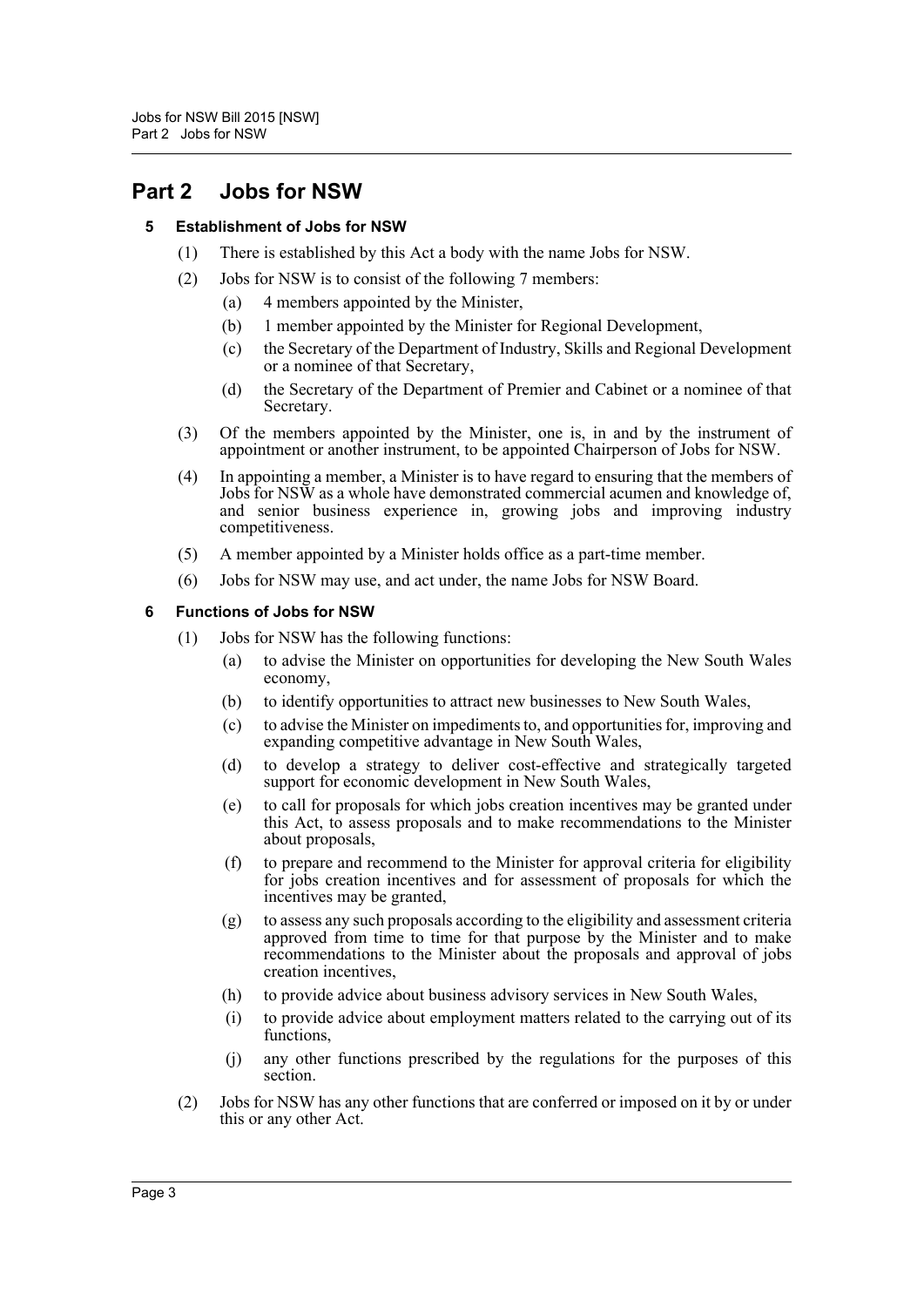### <span id="page-4-1"></span><span id="page-4-0"></span>**Part 2 Jobs for NSW**

### **5 Establishment of Jobs for NSW**

- (1) There is established by this Act a body with the name Jobs for NSW.
- (2) Jobs for NSW is to consist of the following 7 members:
	- (a) 4 members appointed by the Minister,
	- (b) 1 member appointed by the Minister for Regional Development,
	- (c) the Secretary of the Department of Industry, Skills and Regional Development or a nominee of that Secretary,
	- (d) the Secretary of the Department of Premier and Cabinet or a nominee of that Secretary.
- (3) Of the members appointed by the Minister, one is, in and by the instrument of appointment or another instrument, to be appointed Chairperson of Jobs for NSW.
- (4) In appointing a member, a Minister is to have regard to ensuring that the members of Jobs for NSW as a whole have demonstrated commercial acumen and knowledge of, and senior business experience in, growing jobs and improving industry competitiveness.
- (5) A member appointed by a Minister holds office as a part-time member.
- (6) Jobs for NSW may use, and act under, the name Jobs for NSW Board.

### <span id="page-4-2"></span>**6 Functions of Jobs for NSW**

- (1) Jobs for NSW has the following functions:
	- (a) to advise the Minister on opportunities for developing the New South Wales economy,
	- (b) to identify opportunities to attract new businesses to New South Wales,
	- (c) to advise the Minister on impediments to, and opportunities for, improving and expanding competitive advantage in New South Wales,
	- (d) to develop a strategy to deliver cost-effective and strategically targeted support for economic development in New South Wales,
	- (e) to call for proposals for which jobs creation incentives may be granted under this Act, to assess proposals and to make recommendations to the Minister about proposals,
	- (f) to prepare and recommend to the Minister for approval criteria for eligibility for jobs creation incentives and for assessment of proposals for which the incentives may be granted,
	- (g) to assess any such proposals according to the eligibility and assessment criteria approved from time to time for that purpose by the Minister and to make recommendations to the Minister about the proposals and approval of jobs creation incentives,
	- (h) to provide advice about business advisory services in New South Wales,
	- (i) to provide advice about employment matters related to the carrying out of its functions,
	- (j) any other functions prescribed by the regulations for the purposes of this section.
- (2) Jobs for NSW has any other functions that are conferred or imposed on it by or under this or any other Act.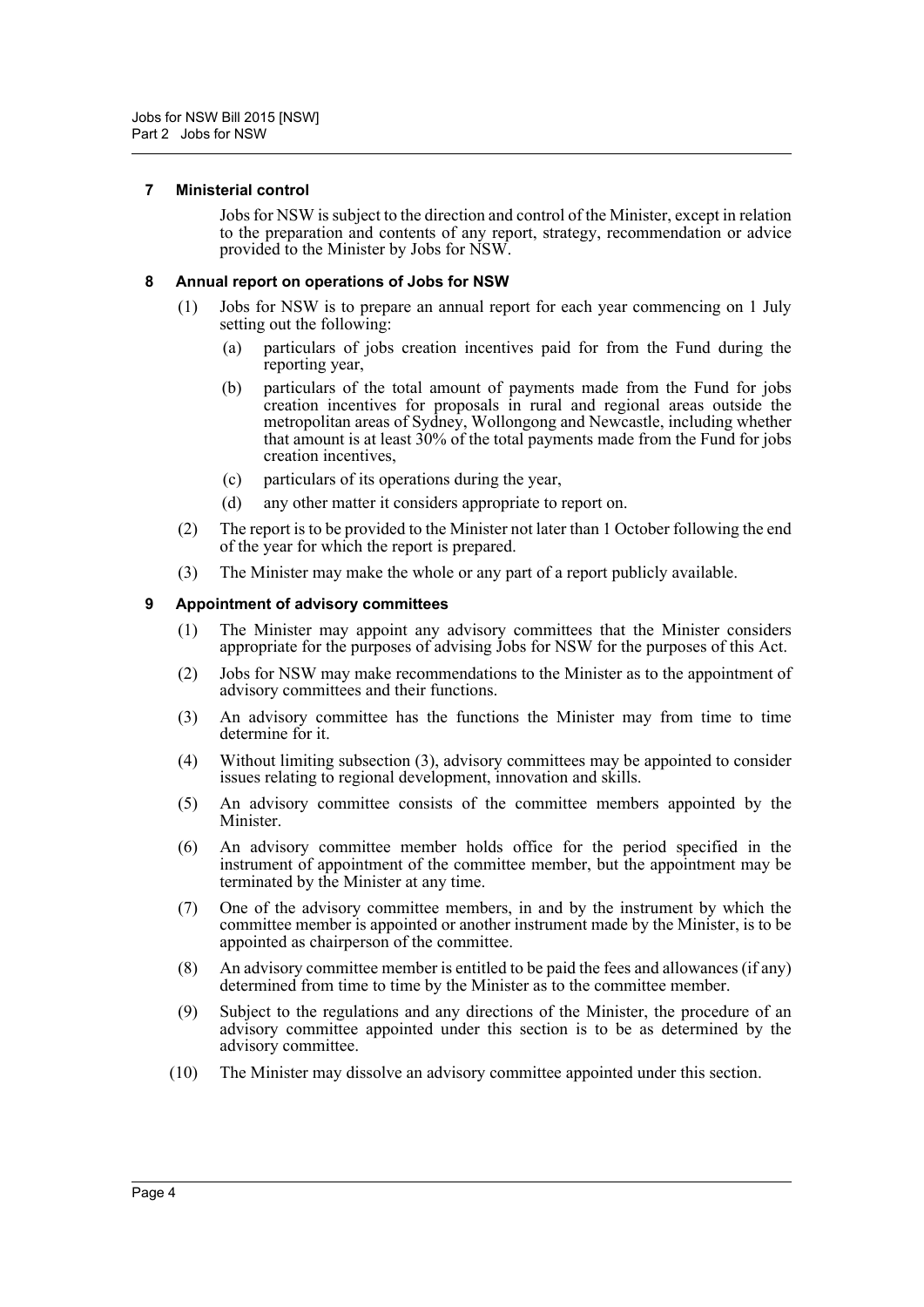#### <span id="page-5-0"></span>**7 Ministerial control**

Jobs for NSW is subject to the direction and control of the Minister, except in relation to the preparation and contents of any report, strategy, recommendation or advice provided to the Minister by Jobs for NSW.

#### <span id="page-5-1"></span>**8 Annual report on operations of Jobs for NSW**

- (1) Jobs for NSW is to prepare an annual report for each year commencing on 1 July setting out the following:
	- (a) particulars of jobs creation incentives paid for from the Fund during the reporting year,
	- (b) particulars of the total amount of payments made from the Fund for jobs creation incentives for proposals in rural and regional areas outside the metropolitan areas of Sydney, Wollongong and Newcastle, including whether that amount is at least 30% of the total payments made from the Fund for jobs creation incentives,
	- (c) particulars of its operations during the year,
	- (d) any other matter it considers appropriate to report on.
- (2) The report is to be provided to the Minister not later than 1 October following the end of the year for which the report is prepared.
- (3) The Minister may make the whole or any part of a report publicly available.

#### <span id="page-5-2"></span>**9 Appointment of advisory committees**

- (1) The Minister may appoint any advisory committees that the Minister considers appropriate for the purposes of advising Jobs for NSW for the purposes of this Act.
- (2) Jobs for NSW may make recommendations to the Minister as to the appointment of advisory committees and their functions.
- (3) An advisory committee has the functions the Minister may from time to time determine for it.
- (4) Without limiting subsection (3), advisory committees may be appointed to consider issues relating to regional development, innovation and skills.
- (5) An advisory committee consists of the committee members appointed by the Minister.
- (6) An advisory committee member holds office for the period specified in the instrument of appointment of the committee member, but the appointment may be terminated by the Minister at any time.
- (7) One of the advisory committee members, in and by the instrument by which the committee member is appointed or another instrument made by the Minister, is to be appointed as chairperson of the committee.
- (8) An advisory committee member is entitled to be paid the fees and allowances (if any) determined from time to time by the Minister as to the committee member.
- (9) Subject to the regulations and any directions of the Minister, the procedure of an advisory committee appointed under this section is to be as determined by the advisory committee.
- (10) The Minister may dissolve an advisory committee appointed under this section.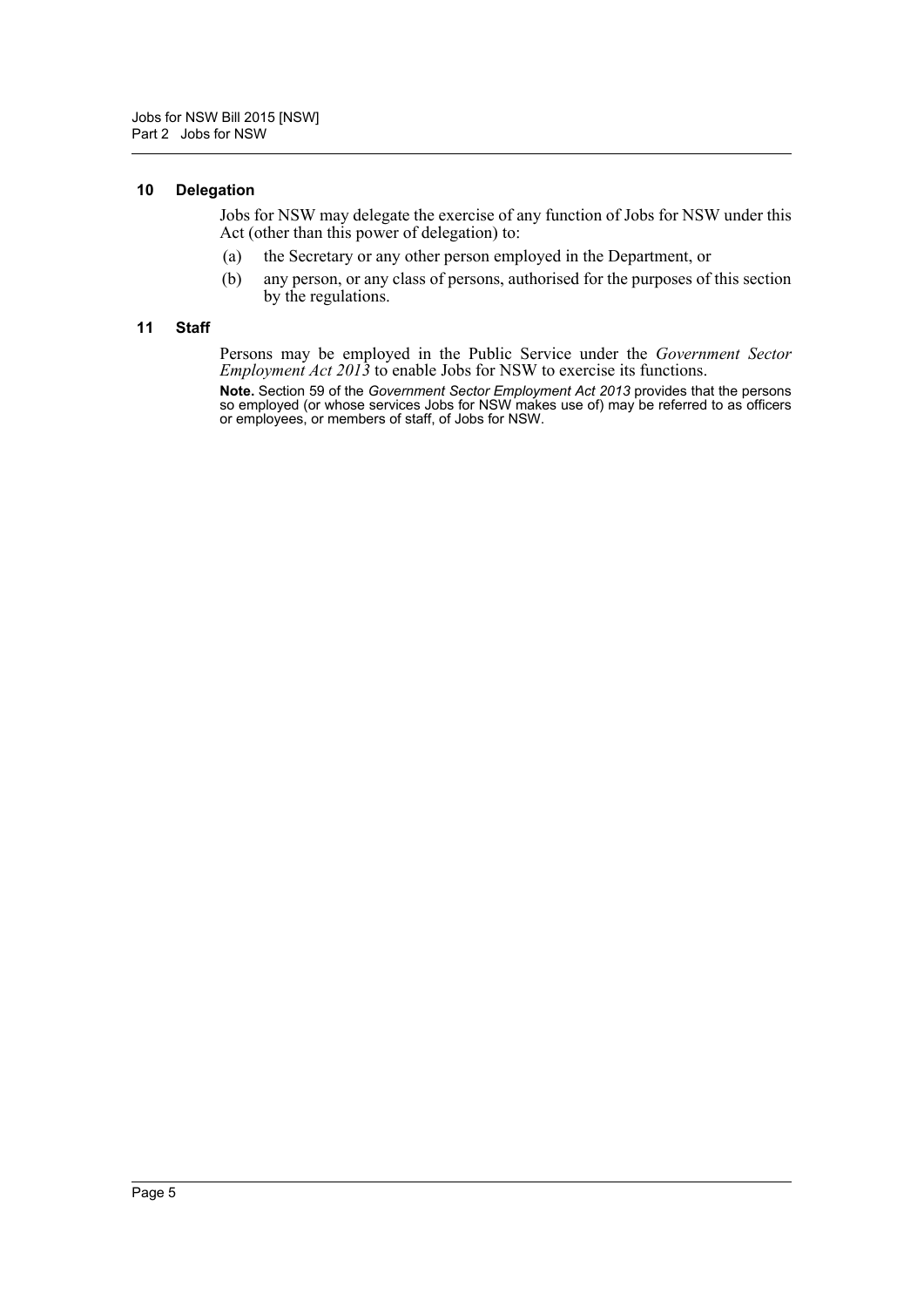#### <span id="page-6-0"></span>**10 Delegation**

Jobs for NSW may delegate the exercise of any function of Jobs for NSW under this Act (other than this power of delegation) to:

- (a) the Secretary or any other person employed in the Department, or
- (b) any person, or any class of persons, authorised for the purposes of this section by the regulations.

#### <span id="page-6-1"></span>**11 Staff**

Persons may be employed in the Public Service under the *Government Sector Employment Act 2013* to enable Jobs for NSW to exercise its functions.

**Note.** Section 59 of the *Government Sector Employment Act 2013* provides that the persons so employed (or whose services Jobs for NSW makes use of) may be referred to as officers or employees, or members of staff, of Jobs for NSW.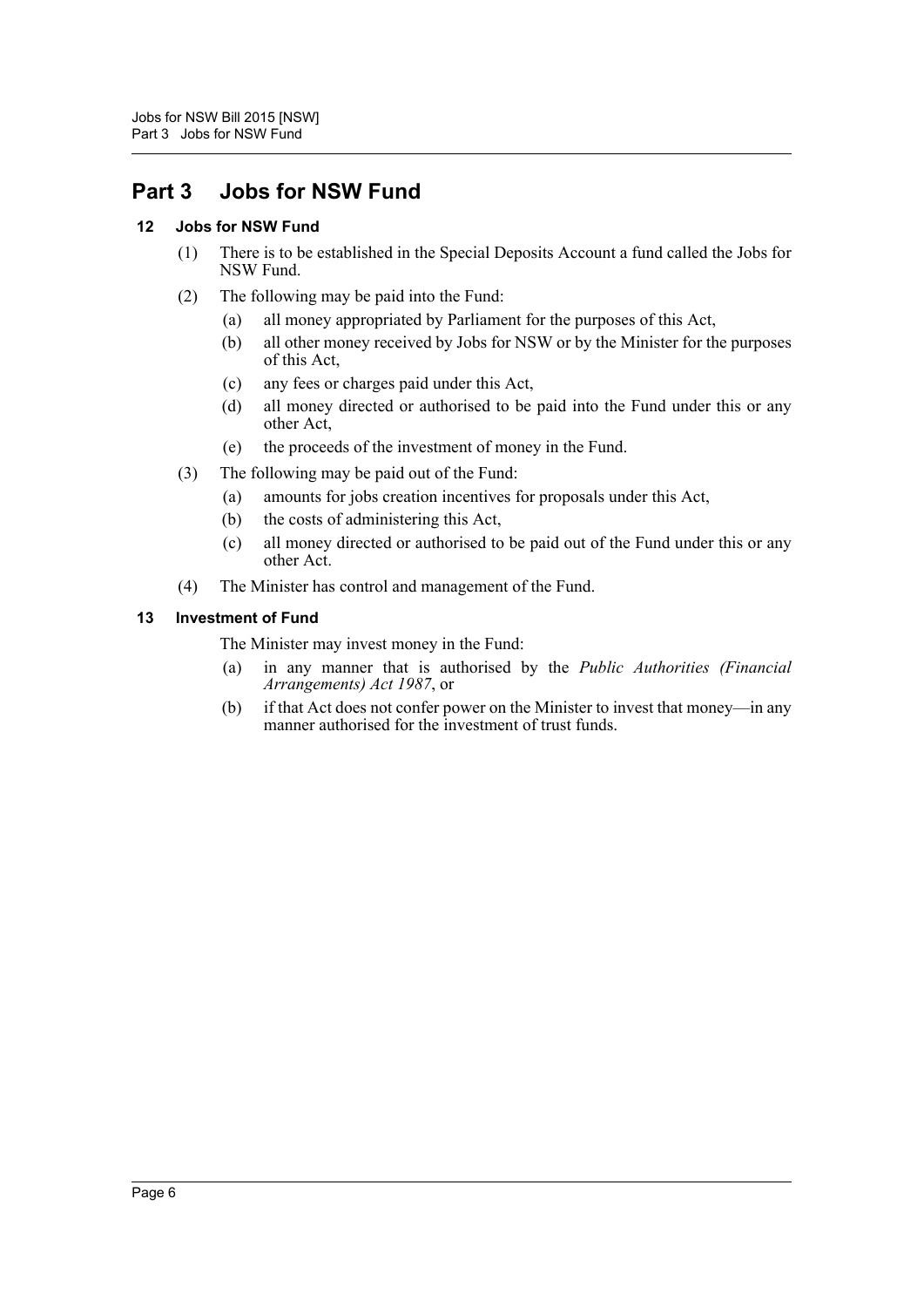### <span id="page-7-0"></span>**Part 3 Jobs for NSW Fund**

### <span id="page-7-1"></span>**12 Jobs for NSW Fund**

- (1) There is to be established in the Special Deposits Account a fund called the Jobs for NSW Fund.
- (2) The following may be paid into the Fund:
	- (a) all money appropriated by Parliament for the purposes of this Act,
	- (b) all other money received by Jobs for NSW or by the Minister for the purposes of this Act,
	- (c) any fees or charges paid under this Act,
	- (d) all money directed or authorised to be paid into the Fund under this or any other Act,
	- (e) the proceeds of the investment of money in the Fund.
- (3) The following may be paid out of the Fund:
	- (a) amounts for jobs creation incentives for proposals under this Act,
	- (b) the costs of administering this Act,
	- (c) all money directed or authorised to be paid out of the Fund under this or any other Act.
- (4) The Minister has control and management of the Fund.

### <span id="page-7-2"></span>**13 Investment of Fund**

The Minister may invest money in the Fund:

- (a) in any manner that is authorised by the *Public Authorities (Financial Arrangements) Act 1987*, or
- (b) if that Act does not confer power on the Minister to invest that money—in any manner authorised for the investment of trust funds.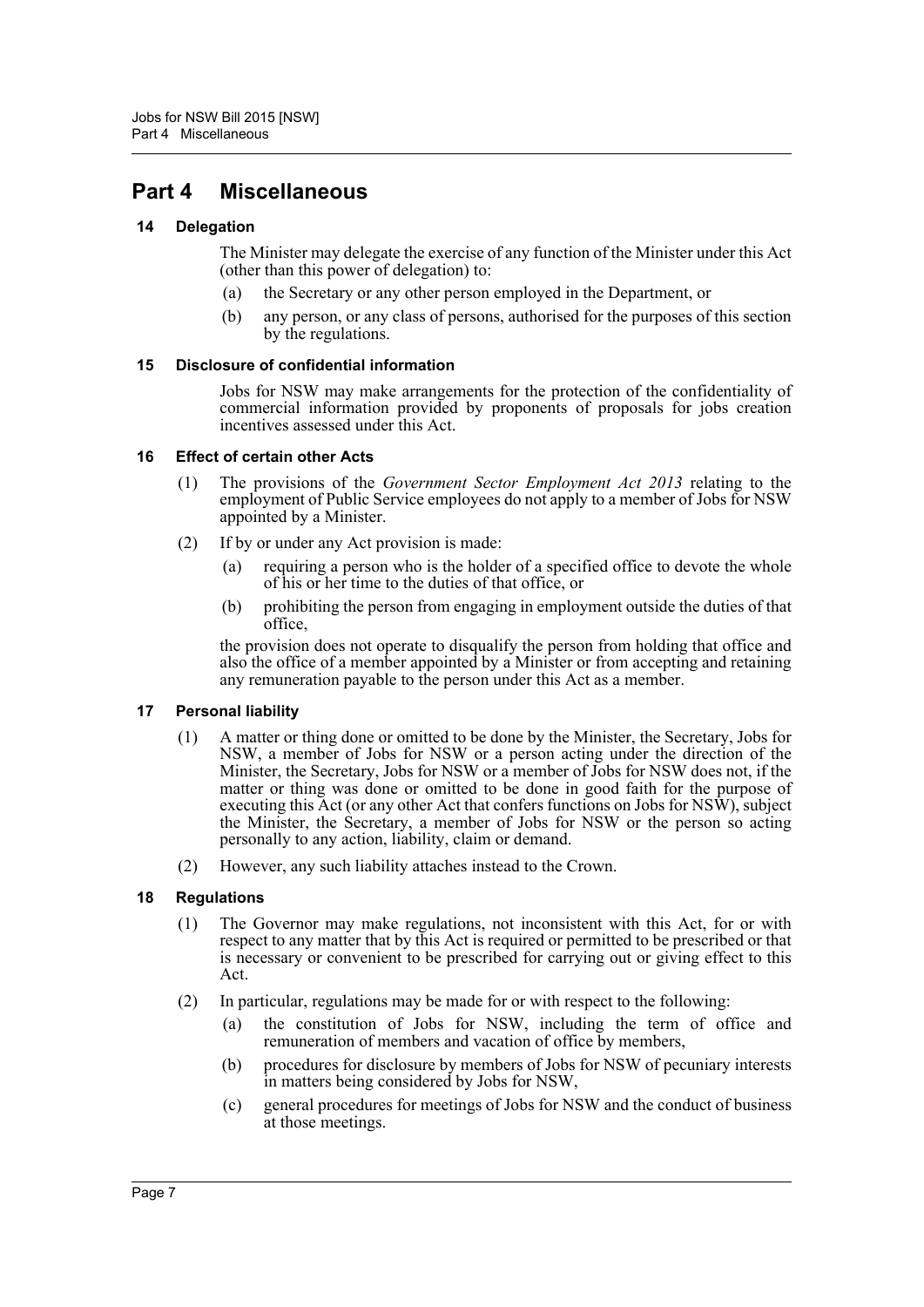### <span id="page-8-0"></span>**Part 4 Miscellaneous**

### <span id="page-8-1"></span>**14 Delegation**

The Minister may delegate the exercise of any function of the Minister under this Act (other than this power of delegation) to:

- (a) the Secretary or any other person employed in the Department, or
- (b) any person, or any class of persons, authorised for the purposes of this section by the regulations.

### <span id="page-8-2"></span>**15 Disclosure of confidential information**

Jobs for NSW may make arrangements for the protection of the confidentiality of commercial information provided by proponents of proposals for jobs creation incentives assessed under this Act.

### <span id="page-8-3"></span>**16 Effect of certain other Acts**

- (1) The provisions of the *Government Sector Employment Act 2013* relating to the employment of Public Service employees do not apply to a member of Jobs for NSW appointed by a Minister.
- (2) If by or under any Act provision is made:
	- requiring a person who is the holder of a specified office to devote the whole of his or her time to the duties of that office, or
	- (b) prohibiting the person from engaging in employment outside the duties of that office,

the provision does not operate to disqualify the person from holding that office and also the office of a member appointed by a Minister or from accepting and retaining any remuneration payable to the person under this Act as a member.

#### <span id="page-8-4"></span>**17 Personal liability**

- (1) A matter or thing done or omitted to be done by the Minister, the Secretary, Jobs for NSW, a member of Jobs for NSW or a person acting under the direction of the Minister, the Secretary, Jobs for NSW or a member of Jobs for NSW does not, if the matter or thing was done or omitted to be done in good faith for the purpose of executing this Act (or any other Act that confers functions on Jobs for NSW), subject the Minister, the Secretary, a member of Jobs for NSW or the person so acting personally to any action, liability, claim or demand.
- (2) However, any such liability attaches instead to the Crown.

### <span id="page-8-5"></span>**18 Regulations**

- (1) The Governor may make regulations, not inconsistent with this Act, for or with respect to any matter that by this Act is required or permitted to be prescribed or that is necessary or convenient to be prescribed for carrying out or giving effect to this Act.
- (2) In particular, regulations may be made for or with respect to the following:
	- (a) the constitution of Jobs for NSW, including the term of office and remuneration of members and vacation of office by members,
	- (b) procedures for disclosure by members of Jobs for NSW of pecuniary interests in matters being considered by Jobs for NSW,
	- (c) general procedures for meetings of Jobs for NSW and the conduct of business at those meetings.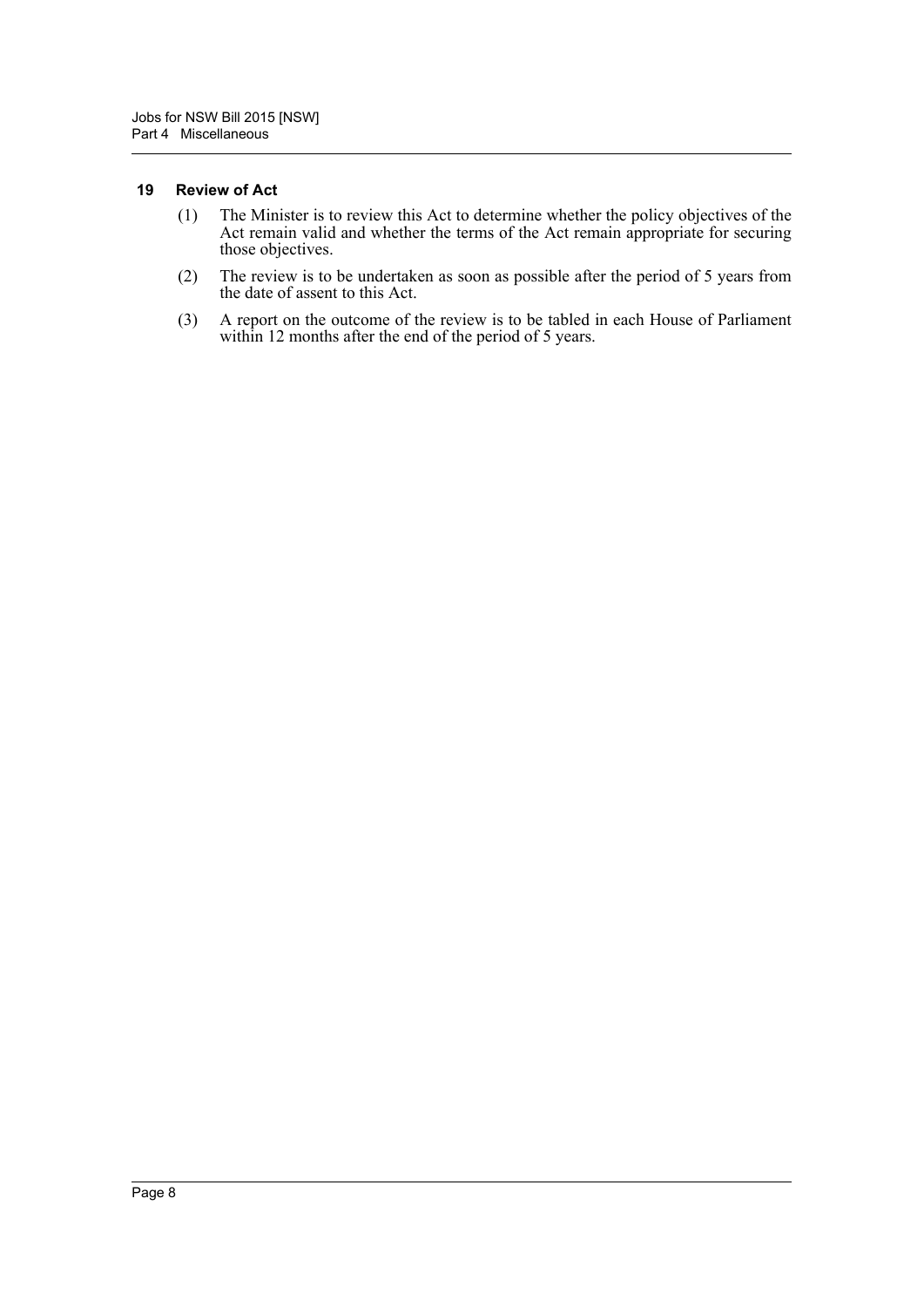#### <span id="page-9-0"></span>**19 Review of Act**

- (1) The Minister is to review this Act to determine whether the policy objectives of the Act remain valid and whether the terms of the Act remain appropriate for securing those objectives.
- (2) The review is to be undertaken as soon as possible after the period of 5 years from the date of assent to this Act.
- (3) A report on the outcome of the review is to be tabled in each House of Parliament within 12 months after the end of the period of 5 years.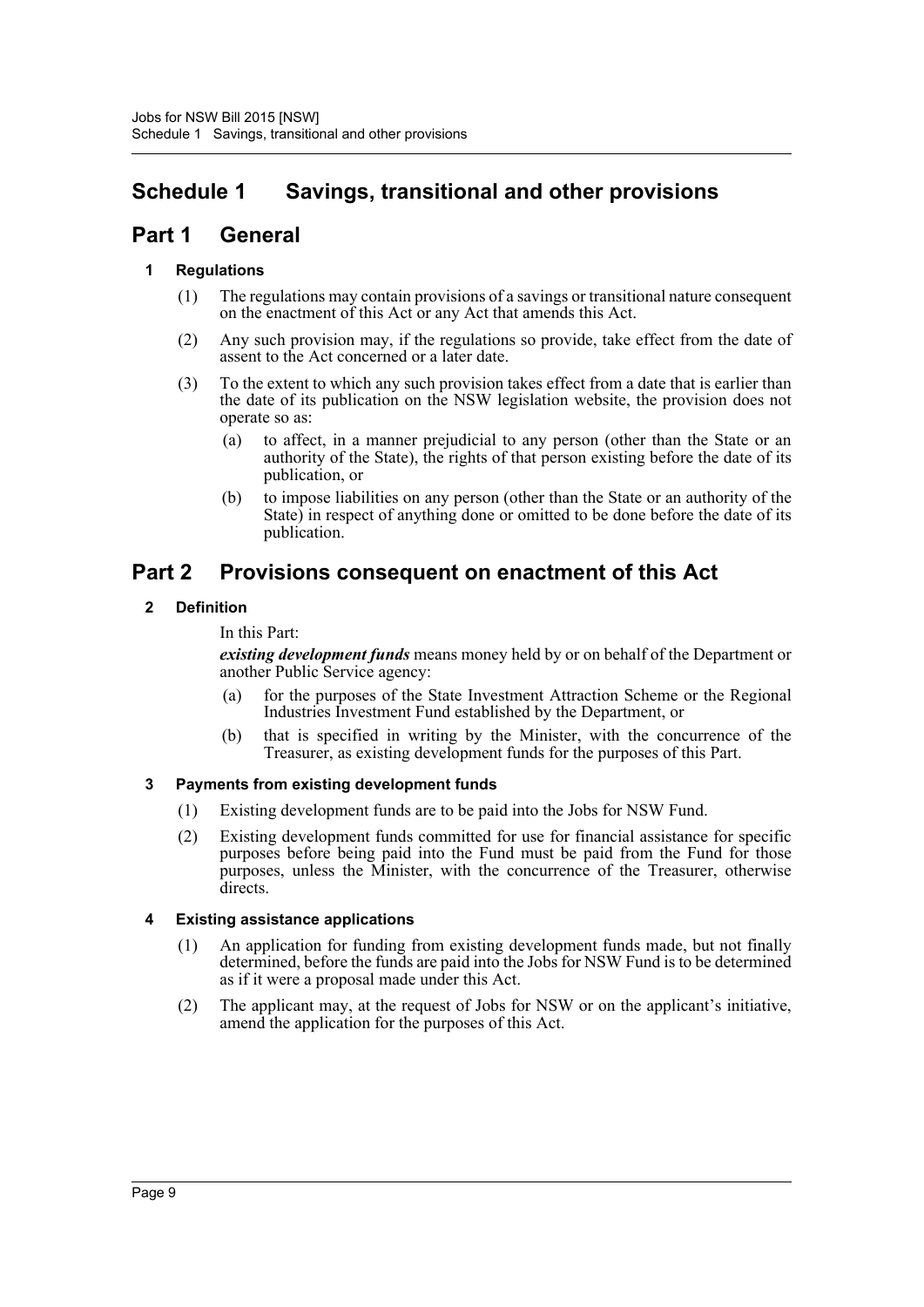### <span id="page-10-0"></span>**Schedule 1 Savings, transitional and other provisions**

### **Part 1 General**

### **1 Regulations**

- (1) The regulations may contain provisions of a savings or transitional nature consequent on the enactment of this Act or any Act that amends this Act.
- (2) Any such provision may, if the regulations so provide, take effect from the date of assent to the Act concerned or a later date.
- (3) To the extent to which any such provision takes effect from a date that is earlier than the date of its publication on the NSW legislation website, the provision does not operate so as:
	- (a) to affect, in a manner prejudicial to any person (other than the State or an authority of the State), the rights of that person existing before the date of its publication, or
	- (b) to impose liabilities on any person (other than the State or an authority of the State) in respect of anything done or omitted to be done before the date of its publication.

### **Part 2 Provisions consequent on enactment of this Act**

### **2 Definition**

In this Part:

*existing development funds* means money held by or on behalf of the Department or another Public Service agency:

- (a) for the purposes of the State Investment Attraction Scheme or the Regional Industries Investment Fund established by the Department, or
- (b) that is specified in writing by the Minister, with the concurrence of the Treasurer, as existing development funds for the purposes of this Part.

### **3 Payments from existing development funds**

- (1) Existing development funds are to be paid into the Jobs for NSW Fund.
- (2) Existing development funds committed for use for financial assistance for specific purposes before being paid into the Fund must be paid from the Fund for those purposes, unless the Minister, with the concurrence of the Treasurer, otherwise directs.

### **4 Existing assistance applications**

- (1) An application for funding from existing development funds made, but not finally determined, before the funds are paid into the Jobs for NSW Fund is to be determined as if it were a proposal made under this Act.
- (2) The applicant may, at the request of Jobs for NSW or on the applicant's initiative, amend the application for the purposes of this Act.